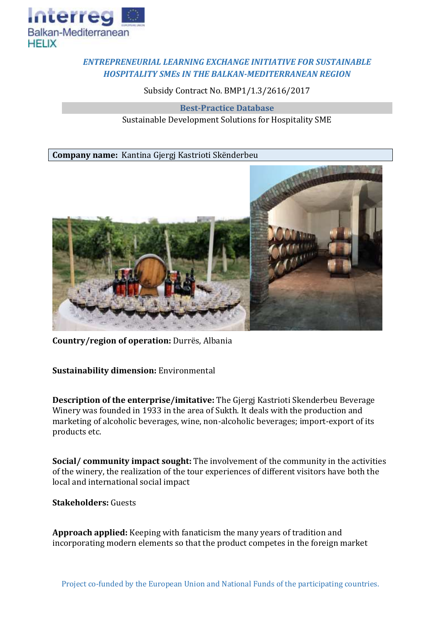

## *ENTREPRENEURIAL LEARNING EXCHANGE INITIATIVE FOR SUSTAINABLE HOSPITALITY SMEs IN THE BALKAN-MEDITERRANEAN REGION*

Subsidy Contract No. BMP1/1.3/2616/2017

**Best-Practice Database** Sustainable Development Solutions for Hospitality SME

**Company name:** Kantina Gjergj Kastrioti Skënderbeu



**Country/region of operation:** Durrës, Albania

**Sustainability dimension:** Environmental

**Description of the enterprise/imitative:** The Gjergj Kastrioti Skenderbeu Beverage Winery was founded in 1933 in the area of Sukth. It deals with the production and marketing of alcoholic beverages, wine, non-alcoholic beverages; import-export of its products etc.

**Social/ community impact sought:** The involvement of the community in the activities of the winery, the realization of the tour experiences of different visitors have both the local and international social impact

**Stakeholders:** Guests

**Approach applied:** Keeping with fanaticism the many years of tradition and incorporating modern elements so that the product competes in the foreign market